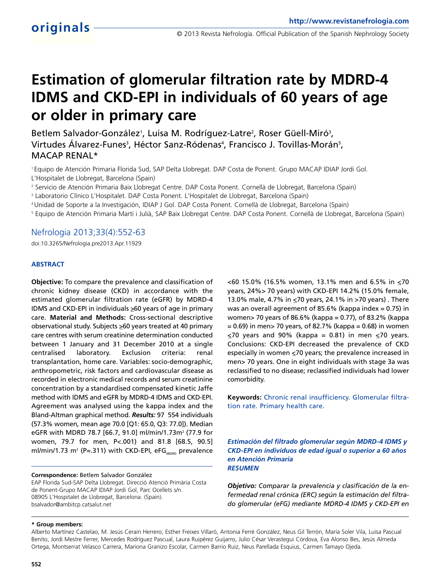# **Estimation of glomerular filtration rate by MDRD-4 IDMS and CKD-EPI in individuals of 60 years of age or older in primary care**

Betlem Salvador-González<sup>1</sup>, Luisa M. Rodríguez-Latre<sup>2</sup>, Roser Güell-Miró<sup>3</sup>, Virtudes Alvarez-Funes<sup>3</sup>, Héctor Sanz-Ródenas<sup>4</sup>, Francisco J. Tovillas-Morán<sup>5</sup>, MACAP RENAL\*

<sup>1</sup>Equipo de Atención Primaria Florida Sud, SAP Delta Llobregat. DAP Costa de Ponent. Grupo MACAP IDIAP Jordi Gol. L'Hospitalet de Llobregat, Barcelona (Spain)

<sup>2</sup> Servicio de Atención Primaria Baix Llobregat Centre. DAP Costa Ponent. Cornellà de Llobregat, Barcelona (Spain)

<sup>3</sup> Laboratorio Clínico L'Hospitalet. DAP Costa Ponent. L'Hospitalet de Llobregat, Barcelona (Spain)

<sup>4</sup>Unidad de Soporte a la Investigación, IDIAP J Gol. DAP Costa Ponent. Cornellà de Llobregat, Barcelona (Spain)

<sup>5</sup> Equipo de Atención Primaria Martí i Julià, SAP Baix Llobregat Centre. DAP Costa Ponent. Cornellà de Llobregat, Barcelona (Spain)

## Nefrologia 2013;33(4):552-63

doi:10.3265/Nefrologia.pre2013.Apr.11929

## **ABSTRACT**

**Objective:** To compare the prevalence and classification of chronic kidney disease (CKD) in accordance with the estimated glomerular filtration rate (eGFR) by MDRD-4 IDMS and CKD-EPI in individuals  $\geq 60$  years of age in primary care. **Material and Methods:** Cross-sectional descriptive observational study. Subjects  $\geq 60$  years treated at 40 primary care centres with serum creatinine determination conducted between 1 January and 31 December 2010 at a single centralised laboratory. Exclusion criteria: renal transplantation, home care. Variables: socio-demographic, anthropometric, risk factors and cardiovascular disease as recorded in electronic medical records and serum creatinine concentration by a standardised compensated kinetic Jaffe method with IDMS and eGFR by MDRD-4 IDMS and CKD-EPI. Agreement was analysed using the kappa index and the Bland-Altman graphical method. *Results:* 97 554 individuals (57.3% women, mean age 70.0 [Q1: 65.0, Q3: 77.0]). Median eGFR with MDRD 78.7 [66.7, 91.0] ml/min/1.73m<sup>2</sup> (77.9 for women, 79.7 for men, P<.001) and 81.8 [68.5, 90.5] ml/min/1.73 m<sup>2</sup> (P=.311) with CKD-EPI, eFG<sub>MDRD</sub> prevalence

**Correspondence:** Betlem Salvador González EAP Florida Sud-SAP Delta Llobregat. Direcció Atenció Primària Costa de Ponent-Grupo MACAP IDIAP Jordi Gol, Parc Ocellets s/n. 08905 L'Hospitalet de Llobregat, Barcelona. (Spain). bsalvador@ambitcp.catsalut.net

 $<$  60 15.0% (16.5% women, 13.1% men and 6.5% in  $\leq$  70 years, 24%> 70 years) with CKD-EPI 14.2% (15.0% female, 13.0% male, 4.7% in <70 years, 24.1% in >70 years) . There was an overall agreement of 85.6% (kappa index  $= 0.75$ ) in women> 70 years of 86.6% (kappa = 0.77), of 83.2% (kappa  $= 0.69$ ) in men $> 70$  years, of 82.7% (kappa  $= 0.68$ ) in women  $\leq$ 70 years and 90% (kappa = 0.81) in men  $\leq$ 70 years. Conclusions: CKD-EPI decreased the prevalence of CKD especially in women  $\leq$ 70 years; the prevalence increased in men> 70 years. One in eight individuals with stage 3a was reclassified to no disease; reclassified individuals had lower comorbidity.

**Keywords:** Chronic renal insufficiency. Glomerular filtration rate. Primary health care.

*Estimación del filtrado glomerular según MDRD-4 IDMS y CKD-EPI en individuos de edad igual o superior a 60 años en Atención Primaria RESUMEN*

*Objetivo: Comparar la prevalencia y clasificación de la enfermedad renal crónica (ERC) según la estimación del filtrado glomerular (eFG) mediante MDRD-4 IDMS y CKD-EPI en*

#### **\* Group members:**

Alberto Martínez Castelao, M. Jesús Cerain Herrero, Esther Freixes Villaró, Antonia Ferré González, Neus Gil Terrón, María Soler Vila, Luisa Pascual Benito, Jordi Mestre Ferrer, Mercedes Rodríguez Pascual, Laura Ruipérez Guijarro, Julio César Verastegui Córdova, Eva Alonso Bes, Jesús Almeda Ortega, Montserrat Velasco Carrera, Mariona Granizo Escolar, Carmen Barrio Ruiz, Neus Parellada Esquius, Carmen Tamayo Ojeda.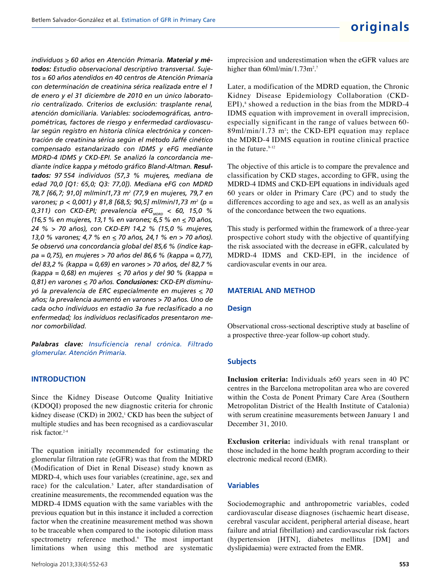*individuos >\_ 60 años en Atención Primaria. Material y métodos: Estudio observacional descriptivo transversal. Sujetos* ≥ *60 años atendidos en 40 centros de Atención Primaria con determinación de creatinina sérica realizada entre el 1 de enero y el 31 diciembre de 2010 en un único laboratorio centralizado. Criterios de exclusión: trasplante renal, atención domiciliaria. Variables: sociodemográficas, antropométricas, factores de riesgo y enfermedad cardiovascular según registro en historia clínica electrónica y concentración de creatinina sérica según el método Jaffé cinético compensado estandarizado con IDMS y eFG mediante MDRD-4 IDMS y CKD-EPI. Se analizó la concordancia mediante índice kappa y método gráfico Bland-Altman. Resultados: 97 554 individuos (57,3 % mujeres, mediana de edad 70,0 [Q1: 65,0; Q3: 77,0]). Mediana eFG con MDRD 78,7 [66,7; 91,0] ml/min/1,73 m<sup>2</sup> (77,9 en mujeres, 79,7 en varones; p < 0,001) y 81,8 [68,5; 90,5] ml/min/1,73 m<sup>2</sup> (p = 0,311)* con CKD-EPI; prevalencia eFG<sub>MDRD</sub> < 60, 15,0 % *(16,5 % en mujeres, 13,1 % en varones; 6,5 % en <\_ 70 años, 24 % > 70 años), con CKD-EPI 14,2 % (15,0 % mujeres, 13,0 % varones; 4,7 % en <\_ 70 años, 24,1 % en > 70 años). Se observó una concordancia global del 85,6 % (índice kappa = 0,75), en mujeres > 70 años del 86,6 % (kappa = 0,77), del 83,2 % (kappa = 0,69) en varones > 70 años, del 82,7 % (kappa = 0,68) en mujeres <\_ 70 años y del 90 % (kappa = 0,81) en varones <\_ 70 años. Conclusiones: CKD-EPI disminuyó la prevalencia de ERC especialmente en mujeres <\_ 70 años; la prevalencia aumentó en varones > 70 años. Uno de cada ocho individuos en estadio 3a fue reclasificado a no enfermedad; los individuos reclasificados presentaron menor comorbilidad.*

*Palabras clave: Insuficiencia renal crónica. Filtrado glomerular. Atención Primaria.*

## **INTRODUCTION**

Since the Kidney Disease Outcome Quality Initiative (KDOQI) proposed the new diagnostic criteria for chronic kidney disease (CKD) in 2002,<sup>1</sup> CKD has been the subject of multiple studies and has been recognised as a cardiovascular risk factor.2-4

The equation initially recommended for estimating the glomerular filtration rate (eGFR) was that from the MDRD (Modification of Diet in Renal Disease) study known as MDRD-4, which uses four variables (creatinine, age, sex and race) for the calculation.<sup>5</sup> Later, after standardisation of creatinine measurements, the recommended equation was the MDRD-4 IDMS equation with the same variables with the previous equation but in this instance it included a correction factor when the creatinine measurement method was shown to be traceable when compared to the isotopic dilution mass spectrometry reference method.<sup>6</sup> The most important limitations when using this method are systematic

imprecision and underestimation when the eGFR values are higher than 60ml/min/1.73m<sup>2</sup>.

Later, a modification of the MDRD equation, the Chronic Kidney Disease Epidemiology Collaboration (CKD-EPI),<sup>8</sup> showed a reduction in the bias from the MDRD-4 IDMS equation with improvement in overall imprecision, especially significant in the range of values between 60-  $89$ ml/min/1.73 m<sup>2</sup>; the CKD-EPI equation may replace the MDRD-4 IDMS equation in routine clinical practice in the future. $9-12$ 

The objective of this article is to compare the prevalence and classification by CKD stages, according to GFR, using the MDRD-4 IDMS and CKD-EPI equations in individuals aged 60 years or older in Primary Care (PC) and to study the differences according to age and sex, as well as an analysis of the concordance between the two equations.

This study is performed within the framework of a three-year prospective cohort study with the objective of quantifying the risk associated with the decrease in eGFR, calculated by MDRD-4 IDMS and CKD-EPI, in the incidence of cardiovascular events in our area.

## **MATERIAL AND METHOD**

#### **Design**

Observational cross-sectional descriptive study at baseline of a prospective three-year follow-up cohort study.

### **Subjects**

**Inclusion criteria:** Individuals ≥60 years seen in 40 PC centres in the Barcelona metropolitan area who are covered within the Costa de Ponent Primary Care Area (Southern Metropolitan District of the Health Institute of Catalonia) with serum creatinine measurements between January 1 and December 31, 2010.

**Exclusion criteria:** individuals with renal transplant or those included in the home health program according to their electronic medical record (EMR).

## **Variables**

Sociodemographic and anthropometric variables, coded cardiovascular disease diagnoses (ischaemic heart disease, cerebral vascular accident, peripheral arterial disease, heart failure and atrial fibrillation) and cardiovascular risk factors (hypertension [HTN], diabetes mellitus [DM] and dyslipidaemia) were extracted from the EMR.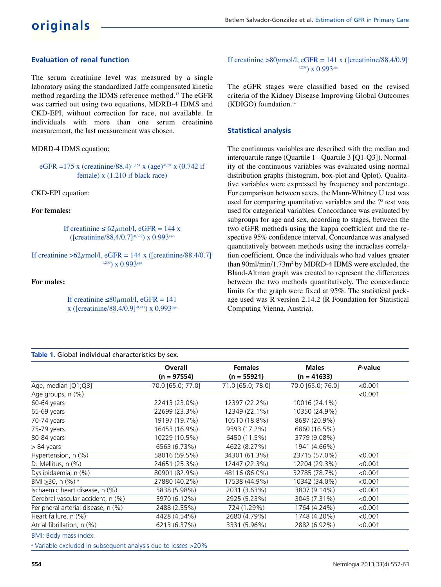## **Evaluation of renal function**

The serum creatinine level was measured by a single laboratory using the standardized Jaffe compensated kinetic method regarding the IDMS reference method.<sup>13</sup> The eGFR was carried out using two equations, MDRD-4 IDMS and CKD-EPI, without correction for race, not available. In individuals with more than one serum creatinine measurement, the last measurement was chosen.

MDRD-4 IDMS equation:

eGFR =175 x (creatinine/88.4)<sup>-1,154</sup> x (age)<sup>-0,203</sup> x (0.742 if female) x (1.210 if black race)

CKD-EPI equation:

**For females:**

If creatinine  $\leq 62 \mu$  mol/l, eGFR = 144 x ([creatinine/88.4/0.7]-0,329) x 0.993age

If creatinine >62 $\mu$ mol/l, eGFR = 144 x ([creatinine/88.4/0.7]-1,209) x 0.993age

**For males:**

If creatinine  $\leq 80 \mu$ mol/l, eGFR = 141 x ([creatinine/88.4/0.9]-0.411) x 0.993age

## **Table 1.** Global individual characteristics by sex.

If creatinine >80 $\mu$ mol/l, eGFR = 141 x ([creatinine/88.4/0.9] $\tau$ <sup>1.209</sup>) x 0.993<sup>age</sup>

The eGFR stages were classified based on the revised criteria of the Kidney Disease Improving Global Outcomes (KDIGO) foundation.<sup>14</sup>

## **Statistical analysis**

The continuous variables are described with the median and interquartile range (Quartile 1 - Quartile 3 [Q1-Q3]). Normality of the continuous variables was evaluated using normal distribution graphs (histogram, box-plot and Qplot). Qualitative variables were expressed by frequency and percentage. For comparison between sexes, the Mann-Whitney U test was used for comparing quantitative variables and the  $?$ <sup>2</sup> test was used for categorical variables. Concordance was evaluated by subgroups for age and sex, according to stages, between the two eGFR methods using the kappa coefficient and the respective 95% confidence interval. Concordance was analysed quantitatively between methods using the intraclass correlation coefficient. Once the individuals who had values greater than 90ml/min/1.73m<sup>2</sup> by MDRD-4 IDMS were excluded, the Bland-Altman graph was created to represent the differences between the two methods quantitatively. The concordance limits for the graph were fixed at 95%. The statistical package used was R version 2.14.2 (R Foundation for Statistical Computing Vienna, Austria).

|                                           | <b>Overall</b>    | <b>Females</b>    | <b>Males</b>      | P-value |
|-------------------------------------------|-------------------|-------------------|-------------------|---------|
|                                           | $(n = 97554)$     | $(n = 55921)$     | $(n = 41633)$     |         |
| Age, median [Q1;Q3]                       | 70 0 [65 0; 77 0] | 71.0 [65.0; 78.0] | 70.0 [65.0; 76.0] | < 0.001 |
| Age groups, n (%)                         |                   |                   |                   | < 0.001 |
| 60-64 years                               | 22413 (23.0%)     | 12397 (22.2%)     | 10016 (24.1%)     |         |
| 65-69 years                               | 22699 (23.3%)     | 12349 (22.1%)     | 10350 (24.9%)     |         |
| 70-74 years                               | 19197 (19.7%)     | 10510 (18.8%)     | 8687 (20.9%)      |         |
| 75-79 years                               | 16453 (16.9%)     | 9593 (17.2%)      | 6860 (16.5%)      |         |
| 80-84 years                               | 10229 (10.5%)     | 6450 (11.5%)      | 3779 (9.08%)      |         |
| > 84 years                                | 6563 (6.73%)      | 4622 (8.27%)      | 1941 (4.66%)      |         |
| Hypertension, n (%)                       | 58016 (59.5%)     | 34301 (61.3%)     | 23715 (57.0%)     | < 0.001 |
| D. Mellitus, n (%)                        | 24651 (25.3%)     | 12447 (22.3%)     | 12204 (29.3%)     | < 0.001 |
| Dyslipidaemia, n (%)                      | 80901 (82.9%)     | 48116 (86.0%)     | 32785 (78.7%)     | < 0.001 |
| BMI > 30, n $(\frac{9}{6})^{\frac{1}{a}}$ | 27880 (40.2%)     | 17538 (44.9%)     | 10342 (34.0%)     | < 0.001 |
| Ischaemic heart disease, n (%)            | 5838 (5.98%)      | 2031 (3.63%)      | 3807 (9.14%)      | < 0.001 |
| Cerebral vascular accident, n (%)         | 5970 (6.12%)      | 2925 (5.23%)      | 3045 (7.31%)      | < 0.001 |
| Peripheral arterial disease, n (%)        | 2488 (2.55%)      | 724 (1.29%)       | 1764 (4.24%)      | < 0.001 |
| Heart failure, n (%)                      | 4428 (4.54%)      | 2680 (4.79%)      | 1748 (4.20%)      | < 0.001 |
| Atrial fibrillation, n (%)                | 6213 (6.37%)      | 3331 (5.96%)      | 2882 (6.92%)      | < 0.001 |
| DMI: Dody more index                      |                   |                   |                   |         |

BMI: Body mass index.

<sup>a</sup> Variable excluded in subsequent analysis due to losses >20%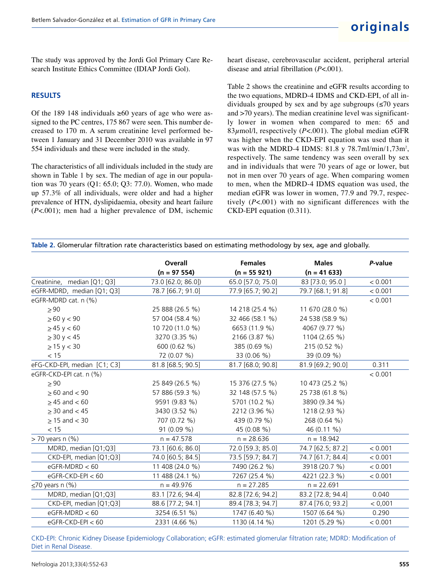The study was approved by the Jordi Gol Primary Care Research Institute Ethics Committee (IDIAP Jordi Gol).

## **RESULTS**

Of the 189 148 individuals  $\geq 60$  years of age who were assigned to the PC centres, 175 867 were seen. This number decreased to 170 m. A serum creatinine level performed between 1 January and 31 December 2010 was available in 97 554 individuals and these were included in the study.

The characteristics of all individuals included in the study are shown in Table 1 by sex. The median of age in our population was 70 years (Q1: 65.0; Q3: 77.0). Women, who made up 57.3% of all individuals, were older and had a higher prevalence of HTN, dyslipidaemia, obesity and heart failure (*P*<.001); men had a higher prevalence of DM, ischemic heart disease, cerebrovascular accident, peripheral arterial disease and atrial fibrillation (*P*<.001).

Table 2 shows the creatinine and eGFR results according to the two equations, MDRD-4 IDMS and CKD-EPI, of all individuals grouped by sex and by age subgroups  $(\leq 70$  years and >70 years). The median creatinine level was significantly lower in women when compared to men: 65 and 83 $\mu$ mol/l, respectively (*P*<.001). The global median eGFR was higher when the CKD-EPI equation was used than it was with the MDRD-4 IDMS:  $81.8 \text{ y } 78.7 \text{ml/min} / 1,73 \text{m}^2$ , respectively. The same tendency was seen overall by sex and in individuals that were 70 years of age or lower, but not in men over 70 years of age. When comparing women to men, when the MDRD-4 IDMS equation was used, the median eGFR was lower in women, 77.9 and 79.7, respectively (*P*<.001) with no significant differences with the CKD-EPI equation (0.311).

| Table 2. Glomerular filtration rate characteristics based on estimating methodology by sex, age and globally. |  |  |  |
|---------------------------------------------------------------------------------------------------------------|--|--|--|
|---------------------------------------------------------------------------------------------------------------|--|--|--|

|                              | Overall            | <b>Females</b>    | <b>Males</b>      | P-value |
|------------------------------|--------------------|-------------------|-------------------|---------|
|                              | $(n = 97554)$      | $(n = 55921)$     | $(n = 41633)$     |         |
| Creatinine, median [Q1; Q3]  | 73.0 [62.0; 86.0]) | 65.0 [57.0; 75.0] | 83 [73.0; 95.0]   | < 0.001 |
| eGFR-MDRD, median [Q1; Q3]   | 78.7 [66.7; 91.0]  | 77.9 [65.7; 90.2] | 79.7 [68.1; 91.8] | < 0.001 |
| eGFR-MDRD cat. n (%)         |                    |                   |                   | < 0.001 |
| > 90                         | 25 888 (26.5 %)    | 14 218 (25.4 %)   | 11 670 (28.0 %)   |         |
| $\ge 60$ y < 90              | 57 004 (58.4 %)    | 32 466 (58.1 %)   | 24 538 (58.9 %)   |         |
| $\geq$ 45 y < 60             | 10 720 (11.0 %)    | 6653 (11.9 %)     | 4067 (9.77 %)     |         |
| $\geq$ 30 y < 45             | 3270 (3.35 %)      | 2166 (3.87 %)     | 1104 (2.65 %)     |         |
| $\geq$ 15 y < 30             | 600 (0.62 %)       | 385 (0.69 %)      | 215 (0.52 %)      |         |
| < 15                         | 72 (0.07 %)        | 33 (0.06 %)       | 39 (0.09 %)       |         |
| eFG-CKD-EPI, median [C1; C3] | 81.8 [68.5; 90.5]  | 81.7 [68.0; 90.8] | 81.9 [69.2; 90.0] | 0.311   |
| eGFR-CKD-EPI cat. n (%)      |                    |                   |                   | < 0.001 |
| > 90                         | 25 849 (26 5 %)    | 15 376 (27.5 %)   | 10 473 (25.2 %)   |         |
| $\geq 60$ and $< 90$         | 57 886 (59.3 %)    | 32 148 (57.5 %)   | 25 738 (61.8 %)   |         |
| $\geq$ 45 and < 60           | 9591 (9.83 %)      | 5701 (10.2 %)     | 3890 (9.34 %)     |         |
| $\geq$ 30 and $<$ 45         | 3430 (3.52 %)      | 2212 (3.96 %)     | 1218 (2.93 %)     |         |
| $\geq$ 15 and < 30           | 707 (0.72 %)       | 439 (0.79 %)      | 268 (0.64 %)      |         |
| < 15                         | 91 (0.09 %)        | 45 (0.08 %)       | 46 (0.11 %)       |         |
| $>$ 70 years n $(\%)$        | $n = 47.578$       | $n = 28.636$      | $n = 18.942$      |         |
| MDRD, median [Q1;Q3]         | 73.1 [60.6; 86.0]  | 72.0 [59.3; 85.0] | 74.7 [62.5; 87.2] | < 0.001 |
| CKD-EPI, median [Q1;Q3]      | 74.0 [60.5; 84.5]  | 73.5 [59.7; 84.7] | 74.7 [61.7; 84.4] | < 0.001 |
| $eGFR-MDRD < 60$             | 11 408 (24.0 %)    | 7490 (26.2 %)     | 3918 (20.7 %)     | < 0.001 |
| $eGFR-CKD-EPI < 60$          | 11 488 (24.1 %)    | 7267 (25.4 %)     | 4221 (22.3 %)     | < 0.001 |
| $\leq$ 70 years n (%)        | $n = 49.976$       | $n = 27.285$      | $n = 22.691$      |         |
| MDRD, median [Q1;Q3]         | 83.1 [72.6; 94.4]  | 82.8 [72.6; 94.2] | 83.2 [72.8; 94.4] | 0.040   |
| CKD-EPI, median [Q1;Q3]      | 88.6 [77.2; 94.1]  | 89.4 [78.3; 94.7] | 87.4 [76.0; 93.2] | < 0,001 |
| $eGFR\text{-}MDRD < 60$      | 3254 (6.51 %)      | 1747 (6.40 %)     | 1507 (6.64 %)     | 0.290   |
| $eGFR-CKD-EPI < 60$          | 2331 (4.66 %)      | 1130 (4.14 %)     | 1201 (5.29 %)     | < 0.001 |

CKD-EPI: Chronic Kidney Disease Epidemiology Collaboration; eGFR: estimated glomerular filtration rate; MDRD: Modification of Diet in Renal Disease.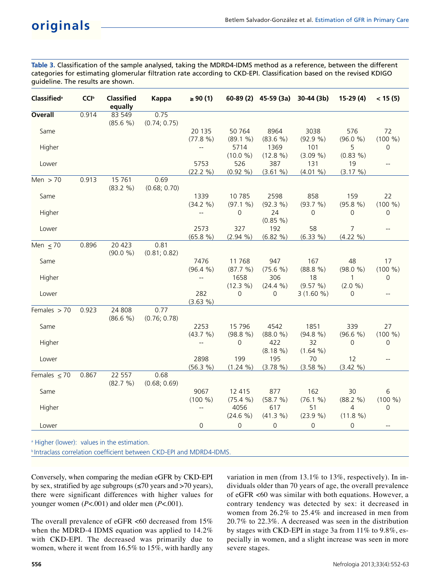**Table 3.** Classification of the sample analysed, taking the MDRD4-IDMS method as a reference, between the different categories for estimating glomerular filtration rate according to CKD-EPI. Classification based on the revised KDIGO guideline. The results are shown.

| <b>Classified</b> <sup>a</sup> | <b>CCI</b> <sup>b</sup> | <b>Classified</b><br>equally | Kappa                | $\geq 90(1)$             |                    | 60-89 (2) 45-59 (3a) 30-44 (3b) |                  | $15-29(4)$        | < 15(5)                                             |
|--------------------------------|-------------------------|------------------------------|----------------------|--------------------------|--------------------|---------------------------------|------------------|-------------------|-----------------------------------------------------|
| <b>Overall</b>                 | 0.914                   | 83 549<br>(85.6 %)           | 0.75<br>(0.74; 0.75) |                          |                    |                                 |                  |                   |                                                     |
| Same                           |                         |                              |                      | 20 135<br>(77.8 %)       | 50 764<br>(89.1 %) | 8964<br>(83.6 %)                | 3038<br>(92.9 %) | 576<br>(96.0 %)   | 72<br>(100 %)                                       |
| Higher                         |                         |                              |                      | $\overline{\phantom{a}}$ | 5714               | 1369                            | 101              | 5                 | 0                                                   |
| Lower                          |                         |                              |                      | 5753                     | (10.0 %)<br>526    | (12.8 %)<br>387                 | (3.09 %)<br>131  | $(0.83\% )$<br>19 | $\overline{\phantom{a}}$                            |
|                                | 0.913                   | 15 761                       | 0.69                 | (22.2 %)                 | $(0.92\% )$        | (3.61 %)                        | $(4.01\% )$      | (3.17 %)          |                                                     |
| Men $> 70$                     |                         | (83.2 %)                     | (0.68; 0.70)         |                          |                    |                                 |                  |                   |                                                     |
| Same                           |                         |                              |                      | 1339                     | 10785              | 2598                            | 858              | 159               | 22                                                  |
|                                |                         |                              |                      | (34.2 %)                 | (97.1 %)           | (92.3 %)                        | (93.7 %)         | (95.8 %)          | (100 %)                                             |
| Higher                         |                         |                              |                      |                          | 0                  | 24<br>(0.85 %)                  | 0                | 0                 | 0                                                   |
| Lower                          |                         |                              |                      | 2573                     | 327                | 192                             | 58               | $\overline{7}$    | $\hspace{0.05cm} -\hspace{0.05cm} -\hspace{0.05cm}$ |
|                                |                         |                              |                      | (65.8 %)                 | $(2.94\% )$        | (6.82 %)                        | (6.33 %)         | (4.22 %)          |                                                     |
| Men $<$ 70                     | 0.896                   | 20 4 23<br>(90.0 %)          | 0.81<br>(0.81; 0.82) |                          |                    |                                 |                  |                   |                                                     |
| Same                           |                         |                              |                      | 7476                     | 11768              | 947                             | 167              | 48                | 17                                                  |
|                                |                         |                              |                      | (96.4 %)                 | (87.7 %)           | (75.6 %)                        | (88.8 %)         | (98.0 %)          | (100 %)                                             |
| Higher                         |                         |                              |                      | $\overline{\phantom{a}}$ | 1658               | 306                             | 18               | $\mathbf{1}$      | $\overline{0}$                                      |
|                                |                         |                              |                      |                          | (12.3 %)           | (24.4 %)                        | (9.57 %)         | (2.0 %)           |                                                     |
| Lower                          |                         |                              |                      | 282<br>(3.63 %)          | 0                  | 0                               | $3(1.60\%)$      | $\Omega$          | $\overline{\phantom{a}}$                            |
| Females $> 70$                 | 0.923                   | 24 808                       | 0.77                 |                          |                    |                                 |                  |                   |                                                     |
|                                |                         | (86.6 %)                     | (0.76; 0.78)         |                          |                    |                                 |                  |                   |                                                     |
| Same                           |                         |                              |                      | 2253                     | 15 7 96            | 4542                            | 1851             | 339               | 27                                                  |
|                                |                         |                              |                      | (43.7 %)                 | (98.8 %)           | (88.0 %)                        | (94.8 %)         | (96.6 %)          | (100 %)                                             |
| Higher                         |                         |                              |                      |                          | $\mathbf 0$        | 422                             | 32               | $\mathbf{0}$      | 0                                                   |
|                                |                         |                              |                      |                          |                    | $(8.18\%)$                      | (1.64 %)         |                   |                                                     |
| Lower                          |                         |                              |                      | 2898                     | 199                | 195                             | 70               | 12                | $-$                                                 |
|                                |                         |                              |                      | (56.3 %)                 | (1.24 %)           | (3.78 %)                        | (3.58 %)         | (3.42 %)          |                                                     |
| Females $\leq 70$              | 0.867                   | 22 557<br>(82.7 %)           | 0.68<br>(0.68; 0.69) |                          |                    |                                 |                  |                   |                                                     |
| Same                           |                         |                              |                      | 9067                     | 12 415             | 877                             | 162              | 30                | 6                                                   |
|                                |                         |                              |                      | (100 %)                  | (75.4 %)           | (58.7 %)                        | (76.1 %)         | (88.2 %)          | (100 %)                                             |
| Higher                         |                         |                              |                      |                          | 4056               | 617                             | 51               | $\overline{4}$    | $\Omega$                                            |
|                                |                         |                              |                      |                          | (24.6 %)           | (41.3 %)                        | (23.9 %)         | (11.8 %)          |                                                     |
| Lower                          |                         |                              |                      | $\Omega$                 | 0                  | 0                               | $\Omega$         | 0                 |                                                     |
|                                |                         |                              |                      |                          |                    |                                 |                  |                   |                                                     |

Higher (lower): values in the estimation.

**b** Intraclass correlation coefficient between CKD-EPI and MDRD4-IDMS.

Conversely, when comparing the median eGFR by CKD-EPI by sex, stratified by age subgroups ( $\leq$ 70 years and  $>$ 70 years), there were significant differences with higher values for younger women (*P*<.001) and older men (*P*<.001).

The overall prevalence of eGFR  $<60$  decreased from 15% when the MDRD-4 IDMS equation was applied to 14.2% with CKD-EPI. The decreased was primarily due to women, where it went from 16.5% to 15%, with hardly any

variation in men (from 13.1% to 13%, respectively). In individuals older than 70 years of age, the overall prevalence of eGFR <60 was similar with both equations. However, a contrary tendency was detected by sex: it decreased in women from 26.2% to 25.4% and increased in men from 20.7% to 22.3%. A decreased was seen in the distribution by stages with CKD-EPI in stage 3a from 11% to 9.8%, especially in women, and a slight increase was seen in more severe stages.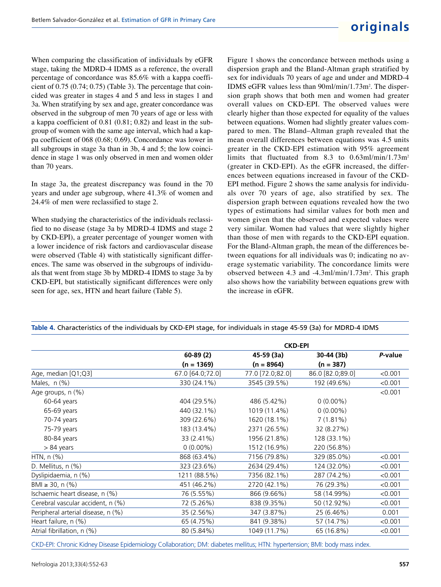When comparing the classification of individuals by eGFR stage, taking the MDRD-4 IDMS as a reference, the overall percentage of concordance was 85.6% with a kappa coefficient of 0.75 (0.74; 0.75) (Table 3). The percentage that coincided was greater in stages 4 and 5 and less in stages 1 and 3a. When stratifying by sex and age, greater concordance was observed in the subgroup of men 70 years of age or less with a kappa coefficient of 0.81 (0.81; 0.82) and least in the subgroup of women with the same age interval, which had a kappa coefficient of 068 (0.68; 0.69). Concordance was lower in all subgroups in stage 3a than in 3b, 4 and 5; the low coincidence in stage 1 was only observed in men and women older than 70 years.

In stage 3a, the greatest discrepancy was found in the 70 years and under age subgroup, where 41.3% of women and 24.4% of men were reclassified to stage 2.

When studying the characteristics of the individuals reclassified to no disease (stage 3a by MDRD-4 IDMS and stage 2 by CKD-EPI), a greater percentage of younger women with a lower incidence of risk factors and cardiovascular disease were observed (Table 4) with statistically significant differences. The same was observed in the subgroups of individuals that went from stage 3b by MDRD-4 IDMS to stage 3a by CKD-EPI, but statistically significant differences were only seen for age, sex, HTN and heart failure (Table 5).

Figure 1 shows the concordance between methods using a dispersion graph and the Bland-Altman graph stratified by sex for individuals 70 years of age and under and MDRD-4 IDMS eGFR values less than 90ml/min/1.73m<sup>2</sup>. The dispersion graph shows that both men and women had greater overall values on CKD-EPI. The observed values were clearly higher than those expected for equality of the values between equations. Women had slightly greater values compared to men. The Bland–Altman graph revealed that the mean overall differences between equations was 4.5 units greater in the CKD-EPI estimation with 95% agreement limits that fluctuated from 8.3 to 0.63ml/min/1.73m<sup>2</sup> (greater in CKD-EPI). As the eGFR increased, the differences between equations increased in favour of the CKD-EPI method. Figure 2 shows the same analysis for individuals over 70 years of age, also stratified by sex. The dispersion graph between equations revealed how the two types of estimations had similar values for both men and women given that the observed and expected values were very similar. Women had values that were slightly higher than those of men with regards to the CKD-EPI equation. For the Bland-Altman graph, the mean of the differences between equations for all individuals was 0; indicating no average systematic variability. The concordance limits were observed between 4.3 and -4.3ml/min/1.73m<sup>2</sup>. This graph also shows how the variability between equations grew with the increase in eGFR.

|                                    | <b>CKD-EPI</b>   |                  |                  |         |  |  |
|------------------------------------|------------------|------------------|------------------|---------|--|--|
|                                    | $60-89(2)$       | 45-59 (3a)       | 30-44 (3b)       | P-value |  |  |
|                                    | $(n = 1369)$     | $(n = 8964)$     | $(n = 387)$      |         |  |  |
| Age, median [Q1;Q3]                | 67.0 [64.0;72.0] | 77.0 [72.0;82.0] | 86.0 [82.0;89.0] | < 0.001 |  |  |
| Males, $n$ (%)                     | 330 (24.1%)      | 3545 (39.5%)     | 192 (49.6%)      | < 0.001 |  |  |
| Age groups, n (%)                  |                  |                  |                  | < 0.001 |  |  |
| 60-64 years                        | 404 (29.5%)      | 486 (5.42%)      | $0(0.00\%)$      |         |  |  |
| 65-69 years                        | 440 (32.1%)      | 1019 (11.4%)     | $0(0.00\%)$      |         |  |  |
| 70-74 years                        | 309 (22.6%)      | 1620 (18.1%)     | $7(1.81\%)$      |         |  |  |
| 75-79 years                        | 183 (13.4%)      | 2371 (26.5%)     | 32 (8.27%)       |         |  |  |
| 80-84 years                        | 33 (2.41%)       | 1956 (21.8%)     | 128 (33.1%)      |         |  |  |
| $> 84$ years                       | $0(0.00\%)$      | 1512 (16.9%)     | 220 (56.8%)      |         |  |  |
| HTN, $n$ $%$                       | 868 (63.4%)      | 7156 (79.8%)     | 329 (85.0%)      | < 0.001 |  |  |
| D. Mellitus, n (%)                 | 323 (23.6%)      | 2634 (29.4%)     | 124 (32.0%)      | < 0.001 |  |  |
| Dyslipidaemia, n (%)               | 1211 (88.5%)     | 7356 (82.1%)     | 287 (74.2%)      | < 0.001 |  |  |
| BMI ≥ 30, n $(\%)$                 | 451 (46.2%)      | 2720 (42.1%)     | 76 (29.3%)       | < 0.001 |  |  |
| Ischaemic heart disease, n (%)     | 76 (5.55%)       | 866 (9.66%)      | 58 (14.99%)      | < 0.001 |  |  |
| Cerebral vascular accident, n (%)  | 72 (5.26%)       | 838 (9.35%)      | 50 (12.92%)      | < 0.001 |  |  |
| Peripheral arterial disease, n (%) | 35 (2.56%)       | 347 (3.87%)      | 25 (6.46%)       | 0.001   |  |  |
| Heart failure, n (%)               | 65 (4.75%)       | 841 (9.38%)      | 57 (14.7%)       | < 0.001 |  |  |
| Atrial fibrillation, n (%)         | 80 (5.84%)       | 1049 (11.7%)     | 65 (16.8%)       | < 0.001 |  |  |

**Table 4.** Characteristics of the individuals by CKD-EPI stage, for individuals in stage 45-59 (3a) for MDRD-4 IDMS

CKD-EPI: Chronic Kidney Disease Epidemiology Collaboration; DM: diabetes mellitus; HTN: hypertension; BMI: body mass index.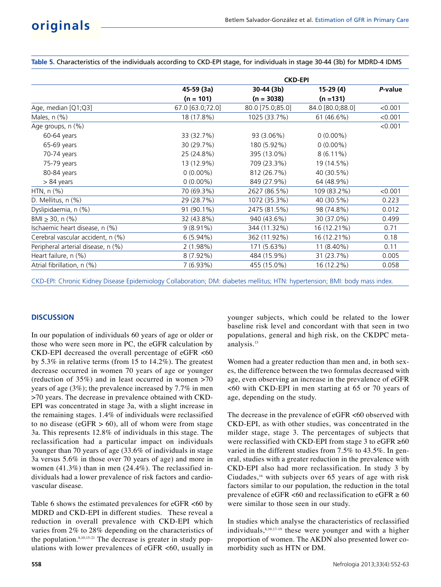**Table 5.** Characteristics of the individuals according to CKD-EPI stage, for individuals in stage 30-44 (3b) for MDRD-4 IDMS

| <b>CKD-EPI</b>   |                  |                  |         |  |
|------------------|------------------|------------------|---------|--|
| 45-59 (3a)       | 30-44 (3b)       | 15-29 (4)        | P-value |  |
| $(n = 101)$      | $(n = 3038)$     | $(n = 131)$      |         |  |
| 67.0 [63.0;72.0] | 80.0 [75.0;85.0] | 84.0 [80.0;88.0] | < 0.001 |  |
| 18 (17.8%)       | 1025 (33.7%)     | 61 (46.6%)       | < 0.001 |  |
|                  |                  |                  | < 0.001 |  |
| 33 (32.7%)       | 93 (3.06%)       | $0(0.00\%)$      |         |  |
| 30 (29.7%)       | 180 (5.92%)      | $0(0.00\%)$      |         |  |
| 25 (24.8%)       | 395 (13.0%)      | $8(6.11\%)$      |         |  |
| 13 (12.9%)       | 709 (23.3%)      | 19 (14.5%)       |         |  |
| $0(0.00\%)$      | 812 (26.7%)      | 40 (30.5%)       |         |  |
| $0(0.00\%)$      | 849 (27.9%)      | 64 (48.9%)       |         |  |
| 70 (69.3%)       | 2627 (86.5%)     | 109 (83.2%)      | < 0.001 |  |
| 29 (28.7%)       | 1072 (35.3%)     | 40 (30.5%)       | 0.223   |  |
| 91 (90.1%)       | 2475 (81.5%)     | 98 (74.8%)       | 0.012   |  |
| 32 (43.8%)       | 940 (43.6%)      | 30 (37.0%)       | 0.499   |  |
| $9(8.91\%)$      | 344 (11.32%)     | 16 (12.21%)      | 0.71    |  |
| $6(5.94\%)$      | 362 (11.92%)     | 16 (12.21%)      | 0.18    |  |
| 2(1.98%)         | 171 (5.63%)      | 11 (8.40%)       | 0.11    |  |
| $8(7.92\%)$      | 484 (15.9%)      | 31 (23.7%)       | 0.005   |  |
| $7(6.93\%)$      | 455 (15.0%)      | 16 (12.2%)       | 0.058   |  |
|                  |                  |                  |         |  |

CKD-EPI: Chronic Kidney Disease Epidemiology Collaboration; DM: diabetes mellitus; HTN: hypertension; BMI: body mass index.

## **DISCUSSION**

In our population of individuals 60 years of age or older or those who were seen more in PC, the eGFR calculation by CKD-EPI decreased the overall percentage of eGFR <60 by 5.3% in relative terms (from 15 to 14.2%). The greatest decrease occurred in women 70 years of age or younger (reduction of 35%) and in least occurred in women >70 years of age (3%); the prevalence increased by 7.7% in men >70 years. The decrease in prevalence obtained with CKD-EPI was concentrated in stage 3a, with a slight increase in the remaining stages. 1.4% of individuals were reclassified to no disease ( $eGFR > 60$ ), all of whom were from stage 3a. This represents 12.8% of individuals in this stage. The reclassification had a particular impact on individuals younger than 70 years of age (33.6% of individuals in stage 3a versus 5.6% in those over 70 years of age) and more in women (41.3%) than in men (24.4%). The reclassified individuals had a lower prevalence of risk factors and cardiovascular disease.

Table 6 shows the estimated prevalences for eGFR <60 by MDRD and CKD-EPI in different studies. These reveal a reduction in overall prevalence with CKD-EPI which varies from 2% to 28% depending on the characteristics of the population.<sup>8,10,15-21</sup> The decrease is greater in study populations with lower prevalences of eGFR <60, usually in

**558**

younger subjects, which could be related to the lower baseline risk level and concordant with that seen in two populations, general and high risk, on the CKDPC metaanalysis.<sup>15</sup>

Women had a greater reduction than men and, in both sexes, the difference between the two formulas decreased with age, even observing an increase in the prevalence of eGFR <60 with CKD-EPI in men starting at 65 or 70 years of age, depending on the study.

The decrease in the prevalence of eGFR <60 observed with CKD-EPI, as with other studies, was concentrated in the milder stage, stage 3. The percentages of subjects that were reclassified with CKD-EPI from stage 3 to eGFR  $\geq 60$ varied in the different studies from 7.5% to 43.5%. In general, studies with a greater reduction in the prevalence with CKD-EPI also had more reclassification. In study 3 by Ciudades, $16$  with subjects over 65 years of age with risk factors similar to our population, the reduction in the total prevalence of eGFR <60 and reclassification to eGFR  $\geq$  60 were similar to those seen in our study.

In studies which analyse the characteristics of reclassified individuals,8,10,17-19 these were younger and with a higher proportion of women. The AKDN also presented lower comorbidity such as HTN or DM.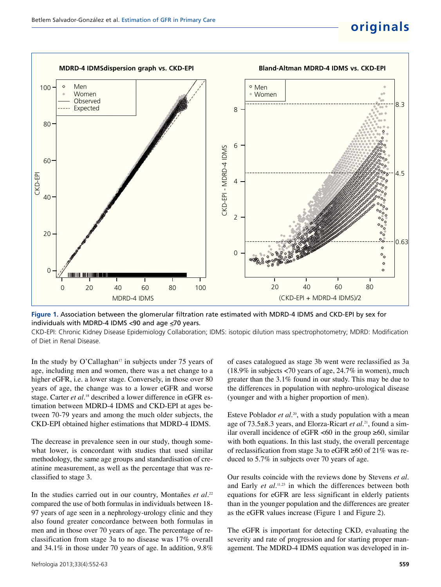## **originals**



**Figure 1.** Association between the glomerular filtration rate estimated with MDRD-4 IDMS and CKD-EPI by sex for individuals with MDRD-4 IDMS <90 and age  $\leq$ 70 years.

CKD-EPI: Chronic Kidney Disease Epidemiology Collaboration; IDMS: isotopic dilution mass spectrophotometry; MDRD: Modification of Diet in Renal Disease.

In the study by O'Callaghan<sup> $17$ </sup> in subjects under 75 years of age, including men and women, there was a net change to a higher eGFR, i.e. a lower stage. Conversely, in those over 80 years of age, the change was to a lower eGFR and worse stage. Carter *et al.*<sup>18</sup> described a lower difference in eGFR estimation between MDRD-4 IDMS and CKD-EPI at ages between 70-79 years and among the much older subjects, the CKD-EPI obtained higher estimations that MDRD-4 IDMS.

The decrease in prevalence seen in our study, though somewhat lower, is concordant with studies that used similar methodology, the same age groups and standardisation of creatinine measurement, as well as the percentage that was reclassified to stage 3.

In the studies carried out in our country, Montañes et al.<sup>22</sup> compared the use of both formulas in individuals between 18- 97 years of age seen in a nephrology-urology clinic and they also found greater concordance between both formulas in men and in those over 70 years of age. The percentage of reclassification from stage 3a to no disease was 17% overall and 34.1% in those under 70 years of age. In addition, 9.8%

of cases catalogued as stage 3b went were reclassified as 3a (18.9% in subjects <70 years of age, 24.7% in women), much greater than the 3.1% found in our study. This may be due to the differences in population with nephro-urological disease (younger and with a higher proportion of men).

Esteve Poblador et al.<sup>20</sup>, with a study population with a mean age of 73.5±8.3 years, and Elorza-Ricart *et al.*21, found a similar overall incidence of eGFR <60 in the group  $\geq 60$ , similar with both equations. In this last study, the overall percentage of reclassification from stage 3a to eGFR ≥60 of 21% was reduced to 5.7% in subjects over 70 years of age.

Our results coincide with the reviews done by Stevens *et al.* and Early *et al.*<sup>11,23</sup> in which the differences between both equations for eGFR are less significant in elderly patients than in the younger population and the differences are greater as the eGFR values increase (Figure 1 and Figure 2).

The eGFR is important for detecting CKD, evaluating the severity and rate of progression and for starting proper management. The MDRD-4 IDMS equation was developed in in-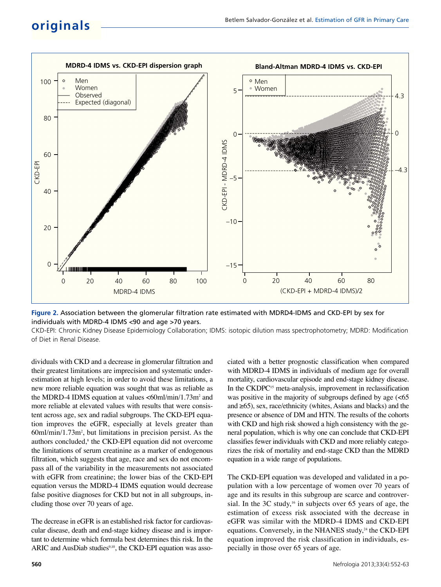## **originals**



**Figure 2.** Association between the glomerular filtration rate estimated with MDRD4-IDMS and CKD-EPI by sex for individuals with MDRD-4 IDMS <90 and age >70 years.

CKD-EPI: Chronic Kidney Disease Epidemiology Collaboration; IDMS: isotopic dilution mass spectrophotometry; MDRD: Modification of Diet in Renal Disease.

dividuals with CKD and a decrease in glomerular filtration and their greatest limitations are imprecision and systematic underestimation at high levels; in order to avoid these limitations, a new more reliable equation was sought that was as reliable as the MDRD-4 IDMS equation at values  $\langle 60 \text{ml/min}/1.73 \text{m}^2$  and more reliable at elevated values with results that were consistent across age, sex and radial subgroups. The CKD-EPI equation improves the eGFR, especially at levels greater than 60ml/min/1.73m<sup>2</sup> , but limitations in precision persist. As the authors concluded,<sup>8</sup> the CKD-EPI equation did not overcome the limitations of serum creatinine as a marker of endogenous filtration, which suggests that age, race and sex do not encompass all of the variability in the measurements not associated with eGFR from creatinine; the lower bias of the CKD-EPI equation versus the MDRD-4 IDMS equation would decrease false positive diagnoses for CKD but not in all subgroups, including those over 70 years of age.

The decrease in eGFR is an established risk factor for cardiovascular disease, death and end-stage kidney disease and is important to determine which formula best determines this risk. In the ARIC and AusDiab studies<sup>9,10</sup>, the CKD-EPI equation was associated with a better prognostic classification when compared with MDRD-4 IDMS in individuals of medium age for overall mortality, cardiovascular episode and end-stage kidney disease. In the CKDPC<sup>15</sup> meta-analysis, improvement in reclassification was positive in the majority of subgroups defined by age  $\left| \right|$ and ≥65), sex, race/ethnicity (whites, Asians and blacks) and the presence or absence of DM and HTN. The results of the cohorts with CKD and high risk showed a high consistency with the general population, which is why one can conclude that CKD-EPI classifies fewer individuals with CKD and more reliably categorizes the risk of mortality and end-stage CKD than the MDRD equation in a wide range of populations.

The CKD-EPI equation was developed and validated in a population with a low percentage of women over 70 years of age and its results in this subgroup are scarce and controversial. In the 3C study,<sup>16</sup> in subjects over 65 years of age, the estimation of excess risk associated with the decrease in eGFR was similar with the MDRD-4 IDMS and CKD-EPI equations. Conversely, in the NHANES study,<sup>24</sup> the CKD-EPI equation improved the risk classification in individuals, especially in those over 65 years of age.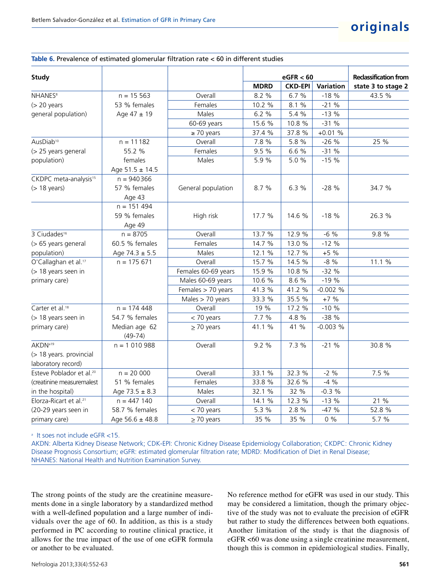#### **Table 6.** Prevalence of estimated glomerular filtration rate < 60 in different studies

| <b>Study</b>                         |                            |                     |             | eGFR < 60      |                  | <b>Reclassification from</b> |
|--------------------------------------|----------------------------|---------------------|-------------|----------------|------------------|------------------------------|
|                                      |                            |                     | <b>MDRD</b> | <b>CKD-EPI</b> | <b>Variation</b> | state 3 to stage 2           |
| <b>NHANES<sup>8</sup></b>            | $n = 15563$                | Overall             | 8.2 %       | 6.7 %          | $-18%$           | 43.5 %                       |
| $(> 20$ years                        | 53 % females               | Females             | 10.2 %      | 8.1 %          | $-21%$           |                              |
| general population)                  | Age $47 \pm 19$            | Males               | 6.2 %       | 5.4 %          | $-13%$           |                              |
|                                      |                            | 60-69 years         | 15.6 %      | 10.8 %         | $-31%$           |                              |
|                                      |                            | $\geq 70$ years     | 37.4 %      | 37.8 %         | $+0.01\%$        |                              |
| AusDiab <sup>10</sup>                | $n = 11182$                | Overall             | 7.8 %       | 5.8 %          | $-26%$           | 25 %                         |
| (> 25 years general                  | 55.2 %                     | Females             | 9.5 %       | 6.6 %          | $-31%$           |                              |
| population)                          | females                    | Males               | 5.9%        | 5.0 %          | $-15%$           |                              |
|                                      | Age $51.5 \pm 14.5$        |                     |             |                |                  |                              |
| CKDPC meta-analysis <sup>15</sup>    | $n = 940366$               |                     |             |                |                  |                              |
| $($ 18 years $)$                     | 57 % females               | General population  | 8.7%        | 6.3%           | $-28%$           | 34.7 %                       |
|                                      | Age 43                     |                     |             |                |                  |                              |
|                                      | $n = 151494$               |                     |             |                |                  |                              |
|                                      | 59 % females               | High risk           | 17.7 %      | 14.6 %         | $-18%$           | 26.3 %                       |
|                                      | Age 49                     |                     |             |                |                  |                              |
| 3 Ciudades <sup>16</sup>             | $n = 8705$                 | Overall             | 13.7 %      | 12.9 %         | $-6%$            | 9.8 %                        |
| (> 65 years general                  | 60.5 % females             | Females             | 14.7 %      | 13.0 %         | $-12%$           |                              |
| population)                          | Age $74.3 \pm 5.5$         | Males               | 12.1 %      | 12.7 %         | $+5%$            |                              |
| O'Callaghan et al. <sup>17</sup>     | $n = 175671$               | Overall             | 15.7 %      | 14.5 %         | $-8%$            | 11.1 %                       |
| (> 18 years seen in                  |                            | Females 60-69 years | 15.9 %      | 10.8 %         | $-32%$           |                              |
| primary care)                        |                            | Males 60-69 years   | 10.6 %      | 8.6 %          | $-19%$           |                              |
|                                      |                            | Females > 70 years  | 41.3 %      | 41.2 %         | $-0.002%$        |                              |
|                                      |                            | Males > 70 years    | 33.3 %      | 35.5 %         | $+7%$            |                              |
| Carter et al. <sup>18</sup>          | $n = 174448$               | Overall             | 19 %        | 17.2 %         | $-10%$           |                              |
| (> 18 years seen in                  | 54.7 % females             | < 70 years          | 7.7 %       | 4.8 %          | $-38%$           |                              |
| primary care)                        | Median age 62<br>$(49-74)$ | $\geq$ 70 years     | 41.1 %      | 41 %           | $-0.003%$        |                              |
| AKDN <sup>a19</sup>                  | $n = 1010988$              | Overall             | 9.2%        | 7.3 %          | $-21%$           | 30.8 %                       |
| (> 18 years. provincial              |                            |                     |             |                |                  |                              |
| laboratory record)                   |                            |                     |             |                |                  |                              |
| Esteve Poblador et al. <sup>20</sup> | $n = 20000$                | Overall             | 33.1 %      | 32.3 %         | $-2\%$           | 7.5 %                        |
| (creatinine measuremalest            | 51 % females               | Females             | 33.8 %      | 32.6 %         | $-4%$            |                              |
| in the hospital)                     | Age $73.5 \pm 8.3$         | Males               | 32.1 %      | 32 %           | $-0.3%$          |                              |
| Elorza-Ricart et al. <sup>21</sup>   | $n = 447140$               | Overall             | 14.1 %      | 12.3 %         | $-13%$           | 21 %                         |
| (20-29 years seen in                 | 58.7 % females             | < 70 years          | 5.3 %       | 2.8 %          | $-47%$           | 52.8 %                       |
| primary care)                        | Age $56.6 \pm 48.8$        | $\geq$ 70 years     | 35 %        | 35 %           | $0\%$            | 5.7 %                        |

a It soes not include eGFR <15.

AKDN: Alberta Kidney Disease Network; CDK-EPI: Chronic Kidney Disease Epidemiology Collaboration; CKDPC: Chronic Kidney Disease Prognosis Consortium; eGFR: estimated glomerular filtration rate; MDRD: Modification of Diet in Renal Disease; NHANES: National Health and Nutrition Examination Survey.

The strong points of the study are the creatinine measurements done in a single laboratory by a standardized method with a well-defined population and a large number of individuals over the age of 60. In addition, as this is a study performed in PC according to routine clinical practice, it allows for the true impact of the use of one eGFR formula or another to be evaluated.

No reference method for eGFR was used in our study. This may be considered a limitation, though the primary objective of the study was not to evaluate the precision of eGFR but rather to study the differences between both equations. Another limitation of the study is that the diagnosis of eGFR <60 was done using a single creatinine measurement, though this is common in epidemiological studies. Finally,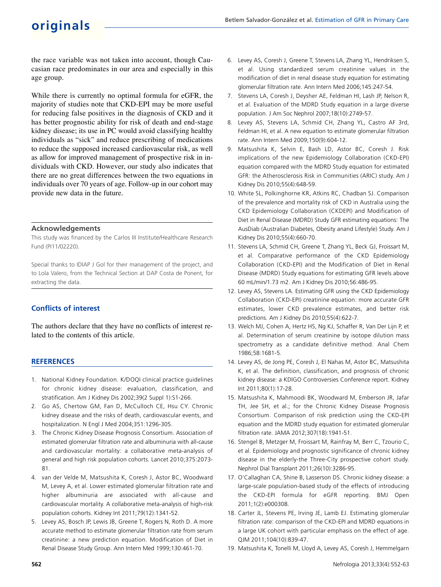## **originals**

the race variable was not taken into account, though Caucasian race predominates in our area and especially in this age group.

While there is currently no optimal formula for eGFR, the majority of studies note that CKD-EPI may be more useful for reducing false positives in the diagnosis of CKD and it has better prognostic ability for risk of death and end-stage kidney disease; its use in PC would avoid classifying healthy individuals as "sick" and reduce prescribing of medications to reduce the supposed increased cardiovascular risk, as well as allow for improved management of prospective risk in individuals with CKD. However, our study also indicates that there are no great differences between the two equations in individuals over 70 years of age. Follow-up in our cohort may provide new data in the future.

## **Acknowledgements**

This study was financed by the Carlos III Institute/Healthcare Research Fund (PI11/02220).

Special thanks to IDIAP J Gol for their management of the project, and to Lola Valero, from the Technical Section at DAP Costa de Ponent, for extracting the data.

## **Conflicts of interest**

The authors declare that they have no conflicts of interest related to the contents of this article.

## **REFERENCES**

- 1. National Kidney Foundation. K/DOQI clinical practice guidelines for chronic kidney disease: evaluation, classification, and stratification. Am J Kidney Dis 2002;39(2 Suppl 1):S1-266.
- 2. Go AS, Chertow GM, Fan D, McCulloch CE, Hsu CY. Chronic kidney disease and the risks of death, cardiovascular events, and hospitalization. N Engl J Med 2004;351:1296-305.
- 3. The Chronic Kidney Disease Prognosis Consortium. Association of estimated glomerular filtration rate and albuminuria with all-cause and cardiovascular mortality: a collaborative meta-analysis of general and high risk population cohorts. Lancet 2010;375:2073- 81.
- 4. van der Velde M, Matsushita K, Coresh J, Astor BC, Woodward M, Levey A, et al. Lower estimated glomerular filtration rate and higher albuminuria are associated with all-cause and cardiovascular mortality. A collaborative meta-analysis of high-risk population cohorts. Kidney Int 2011;79(12):1341-52.
- 5. Levey AS, Bosch JP, Lewis JB, Greene T, Rogers N, Roth D. A more accurate method to estimate glomerular filtration rate from serum creatinine: a new prediction equation. Modification of Diet in Renal Disease Study Group. Ann Intern Med 1999;130:461-70.
- 6. Levey AS, Coresh J, Greene T, Stevens LA, Zhang YL, Hendriksen S, et al. Using standardized serum creatinine values in the modification of diet in renal disease study equation for estimating glomerular filtration rate. Ann Intern Med 2006;145:247-54.
- 7. Stevens LA, Coresh J, Deysher AE, Feldman HI, Lash JP, Nelson R, et al. Evaluation of the MDRD Study equation in a large diverse population. J Am Soc Nephrol 2007;18(10):2749-57.
- 8. Levey AS, Stevens LA, Schmid CH, Zhang YL, Castro AF 3rd, Feldman HI, et al. A new equation to estimate glomerular filtration rate. Ann Intern Med 2009;150(9):604-12.
- 9. Matsushita K, Selvin E, Bash LD, Astor BC, Coresh J. Risk implications of the new Epidemiology Collaboration (CKD-EPI) equation compared with the MDRD Study equation for estimated GFR: the Atherosclerosis Risk in Communities (ARIC) study. Am J Kidney Dis 2010;55(4):648-59.
- 10. White SL, Polkinghorne KR, Atkins RC, Chadban SJ. Comparison of the prevalence and mortality risk of CKD in Australia using the CKD Epidemiology Collaboration (CKDEPI) and Modification of Diet in Renal Disease (MDRD) Study GFR estimating equations: The AusDiab (Australian Diabetes, Obesity anand Lifestyle) Study. Am J Kidney Dis 2010;55(4):660-70.
- 11. Stevens LA, Schmid CH, Greene T, Zhang YL, Beck GJ, Froissart M, et al. Comparative performance of the CKD Epidemiology Collaboration (CKD-EPI) and the Modification of Diet in Renal Disease (MDRD) Study equations for estimating GFR levels above 60 mL/min/1.73 m2. Am J Kidney Dis 2010;56:486-95.
- 12. Levey AS, Stevens LA. Estimating GFR using the CKD Epidemiology Collaboration (CKD-EPI) creatinine equation: more accurate GFR estimates, lower CKD prevalence estimates, and better risk predictions. Am J Kidney Dis 2010;55(4):622-7.
- 13. Welch MJ, Cohen A, Hertz HS, Ng KJ, Schaffer R, Van Der Lijn P, et al. Determination of serum creatinine by isotope dilution mass spectrometry as a candidate definitive method. Anal Chem 1986;58:1681-5.
- 14. Levey AS, de Jong PE, Coresh J, El Nahas M, Astor BC, Matsushita K, et al. The definition, classification, and prognosis of chronic kidney disease: a KDIGO Controversies Conference report. Kidney Int 2011;80(1):17-28.
- 15. Matsushita K, Mahmoodi BK, Woodward M, Emberson JR, Jafar TH, Jee SH, et al.; for the Chronic Kidney Disease Prognosis Consortium. Comparison of risk prediction using the CKD-EPI equation and the MDRD study equation for estimated glomerular filtration rate. JAMA 2012;307(18):1941-51.
- 16. Stengel B, Metzger M, Froissart M, Rainfray M, Berr C, Tzourio C, et al. Epidemiology and prognostic significance of chronic kidney disease in the elderly-the Three-City prospective cohort study. Nephrol Dial Transplant 2011;26(10):3286-95.
- 17. O'Callaghan CA, Shine B, Lasserson DS. Chronic kidney disease: a large-scale population-based study of the effects of introducing the CKD-EPI formula for eGFR reporting. BMJ Open 2011;1(2):e000308.
- 18. Carter JL, Stevens PE, Irving JE, Lamb EJ. Estimating glomerular filtration rate: comparison of the CKD-EPI and MDRD equations in a large UK cohort with particular emphasis on the effect of age. QJM 2011;104(10):839-47.
- 19. Matsushita K, Tonelli M, Lloyd A, Levey AS, Coresh J, Hemmelgarn